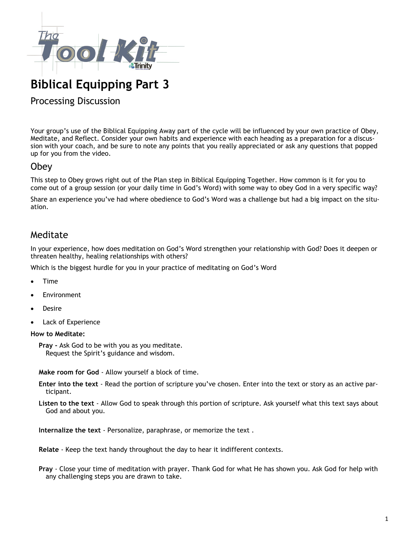

# **Biblical Equipping Part 3**

#### Processing Discussion

Your group's use of the Biblical Equipping Away part of the cycle will be influenced by your own practice of Obey, Meditate, and Reflect. Consider your own habits and experience with each heading as a preparation for a discussion with your coach, and be sure to note any points that you really appreciated or ask any questions that popped up for you from the video.

#### Obey

This step to Obey grows right out of the Plan step in Biblical Equipping Together. How common is it for you to come out of a group session (or your daily time in God's Word) with some way to obey God in a very specific way?

Share an experience you've had where obedience to God's Word was a challenge but had a big impact on the situation.

### Meditate

In your experience, how does meditation on God's Word strengthen your relationship with God? Does it deepen or threaten healthy, healing relationships with others?

Which is the biggest hurdle for you in your practice of meditating on God's Word

- Time
- **Environment**
- **Desire**
- Lack of Experience

#### **How to Meditate:**

**Pray -** Ask God to be with you as you meditate. Request the Spirit's guidance and wisdom.

**Make room for God** - Allow yourself a block of time.

**Enter into the text** - Read the portion of scripture you've chosen. Enter into the text or story as an active participant.

**Listen to the text** - Allow God to speak through this portion of scripture. Ask yourself what this text says about God and about you.

**Internalize the text** - Personalize, paraphrase, or memorize the text .

**Relate** - Keep the text handy throughout the day to hear it indifferent contexts.

**Pray** - Close your time of meditation with prayer. Thank God for what He has shown you. Ask God for help with any challenging steps you are drawn to take.